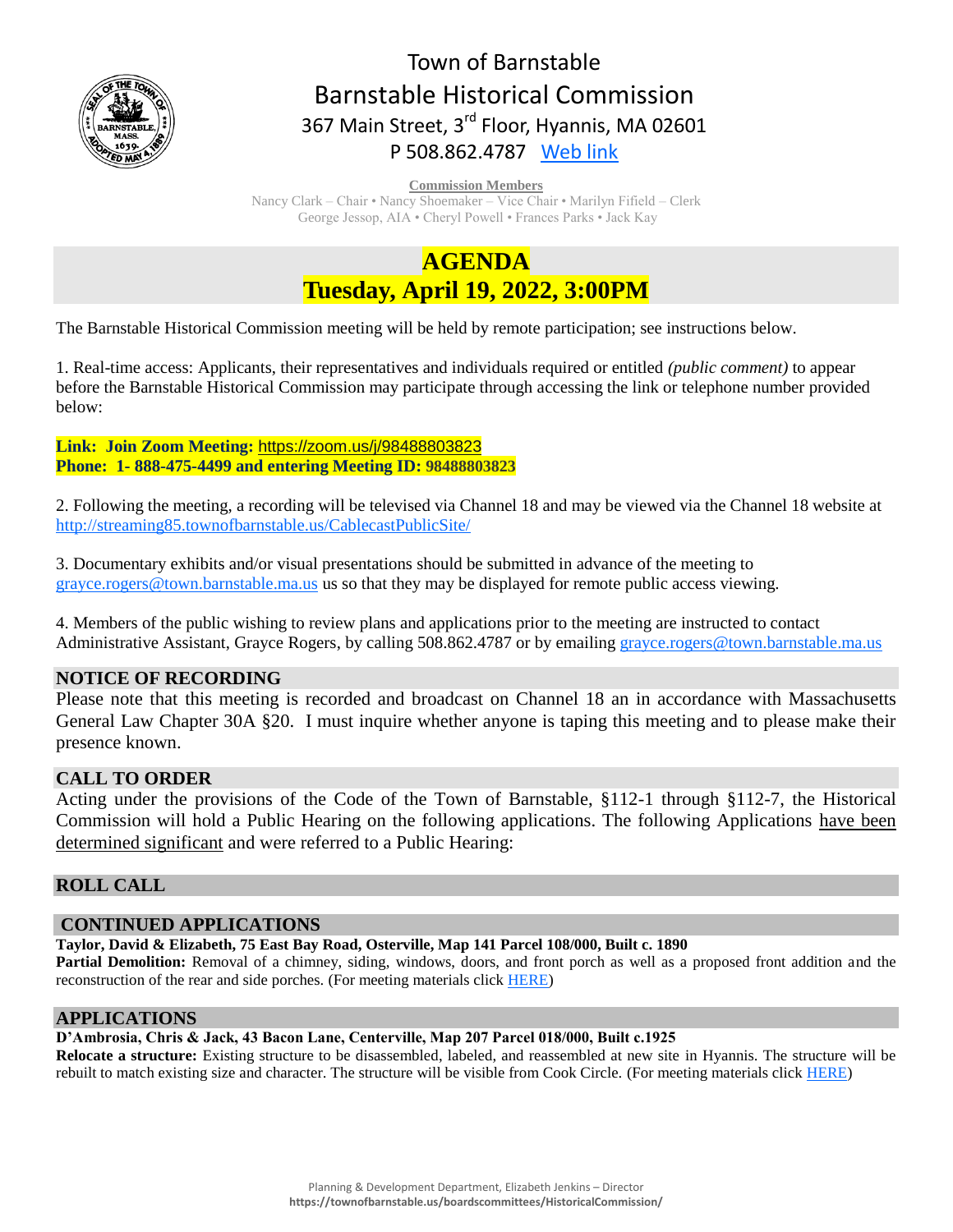

# Town of Barnstable Barnstable Historical Commission 367 Main Street, 3<sup>rd</sup> Floor, Hyannis, MA 02601 P 508.862.4787 [Web link](https://tobweb.town.barnstable.ma.us/boardscommittees/HistoricalCommission/default.asp?brd=Historical+Commission&year=2021)

**Commission Members**

Nancy Clark – Chair • Nancy Shoemaker – Vice Chair • Marilyn Fifield – Clerk George Jessop, AIA • Cheryl Powell • Frances Parks • Jack Kay

# **AGENDA Tuesday, April 19, 2022, 3:00PM**

The Barnstable Historical Commission meeting will be held by remote participation; see instructions below.

1. Real-time access: Applicants, their representatives and individuals required or entitled *(public comment)* to appear before the Barnstable Historical Commission may participate through accessing the link or telephone number provided below:

**Link: Join Zoom Meeting:** <https://zoom.us/j/98488803823> **Phone: 1- 888-475-4499 and entering Meeting ID: 98488803823**

2. Following the meeting, a recording will be televised via Channel 18 and may be viewed via the Channel 18 website at <http://streaming85.townofbarnstable.us/CablecastPublicSite/>

3. Documentary exhibits and/or visual presentations should be submitted in advance of the meeting to [grayce.rogers@town.barnstable.ma.us](mailto:grayce.rogers@town.barnstable.ma.us) us so that they may be displayed for remote public access viewing.

4. Members of the public wishing to review plans and applications prior to the meeting are instructed to contact Administrative Assistant, Grayce Rogers, by calling 508.862.4787 or by emailing [grayce.rogers@town.barnstable.ma.us](mailto:grayce.rogers@town.barnstable.ma.us)

## **NOTICE OF RECORDING**

Please note that this meeting is recorded and broadcast on Channel 18 an in accordance with Massachusetts General Law Chapter 30A §20. I must inquire whether anyone is taping this meeting and to please make their presence known.

# **CALL TO ORDER**

Acting under the provisions of the Code of the Town of Barnstable, §112-1 through §112-7, the Historical Commission will hold a Public Hearing on the following applications. The following Applications have been determined significant and were referred to a Public Hearing:

# **ROLL CALL**

## **CONTINUED APPLICATIONS**

**Taylor, David & Elizabeth, 75 East Bay Road, Osterville, Map 141 Parcel 108/000, Built c. 1890**

Partial Demolition: Removal of a chimney, siding, windows, doors, and front porch as well as a proposed front addition and the reconstruction of the rear and side porches. (For meeting materials click [HERE\)](https://itlaserfiche.town.barnstable.ma.us/WebLink/Browse.aspx?id=761975&dbid=0&repo=TownOfBarnstable)

## **APPLICATIONS**

#### **D'Ambrosia, Chris & Jack, 43 Bacon Lane, Centerville, Map 207 Parcel 018/000, Built c.1925**

**Relocate a structure:** Existing structure to be disassembled, labeled, and reassembled at new site in Hyannis. The structure will be rebuilt to match existing size and character. The structure will be visible from Cook Circle. (For meeting materials click [HERE\)](https://itlaserfiche.town.barnstable.ma.us/WebLink/Browse.aspx?id=761974&dbid=0&repo=TownOfBarnstable)